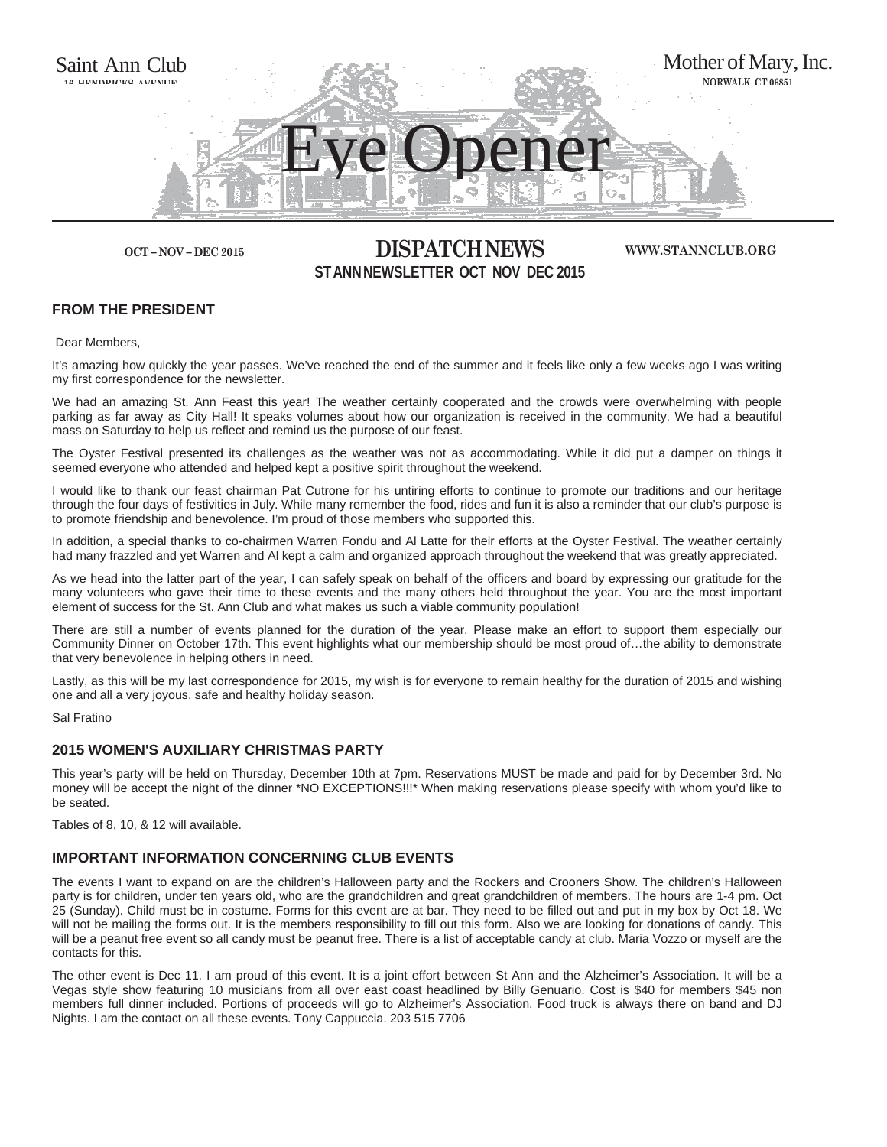

# **OCT – NOV – DEC 2015 DISPATCH NEWS ST ANN NEWSLETTER OCT NOV DEC 2015**

**WWW.STANNCLUB.ORG**

# **FROM THE PRESIDENT**

Dear Members,

It's amazing how quickly the year passes. We've reached the end of the summer and it feels like only a few weeks ago I was writing my first correspondence for the newsletter.

We had an amazing St. Ann Feast this year! The weather certainly cooperated and the crowds were overwhelming with people parking as far away as City Hall! It speaks volumes about how our organization is received in the community. We had a beautiful mass on Saturday to help us reflect and remind us the purpose of our feast.

The Oyster Festival presented its challenges as the weather was not as accommodating. While it did put a damper on things it seemed everyone who attended and helped kept a positive spirit throughout the weekend.

I would like to thank our feast chairman Pat Cutrone for his untiring efforts to continue to promote our traditions and our heritage through the four days of festivities in July. While many remember the food, rides and fun it is also a reminder that our club's purpose is to promote friendship and benevolence. I'm proud of those members who supported this.

In addition, a special thanks to co-chairmen Warren Fondu and Al Latte for their efforts at the Oyster Festival. The weather certainly had many frazzled and yet Warren and Al kept a calm and organized approach throughout the weekend that was greatly appreciated.

As we head into the latter part of the year, I can safely speak on behalf of the officers and board by expressing our gratitude for the many volunteers who gave their time to these events and the many others held throughout the year. You are the most important element of success for the St. Ann Club and what makes us such a viable community population!

There are still a number of events planned for the duration of the year. Please make an effort to support them especially our Community Dinner on October 17th. This event highlights what our membership should be most proud of…the ability to demonstrate that very benevolence in helping others in need.

Lastly, as this will be my last correspondence for 2015, my wish is for everyone to remain healthy for the duration of 2015 and wishing one and all a very joyous, safe and healthy holiday season.

Sal Fratino

## **2015 WOMEN'S AUXILIARY CHRISTMAS PARTY**

This year's party will be held on Thursday, December 10th at 7pm. Reservations MUST be made and paid for by December 3rd. No money will be accept the night of the dinner \*NO EXCEPTIONS!!!\* When making reservations please specify with whom you'd like to be seated.

Tables of 8, 10, & 12 will available.

# **IMPORTANT INFORMATION CONCERNING CLUB EVENTS**

The events I want to expand on are the children's Halloween party and the Rockers and Crooners Show. The children's Halloween party is for children, under ten years old, who are the grandchildren and great grandchildren of members. The hours are 1-4 pm. Oct 25 (Sunday). Child must be in costume. Forms for this event are at bar. They need to be filled out and put in my box by Oct 18. We will not be mailing the forms out. It is the members responsibility to fill out this form. Also we are looking for donations of candy. This will be a peanut free event so all candy must be peanut free. There is a list of acceptable candy at club. Maria Vozzo or myself are the contacts for this.

The other event is Dec 11. I am proud of this event. It is a joint effort between St Ann and the Alzheimer's Association. It will be a Vegas style show featuring 10 musicians from all over east coast headlined by Billy Genuario. Cost is \$40 for members \$45 non members full dinner included. Portions of proceeds will go to Alzheimer's Association. Food truck is always there on band and DJ Nights. I am the contact on all these events. Tony Cappuccia. 203 515 7706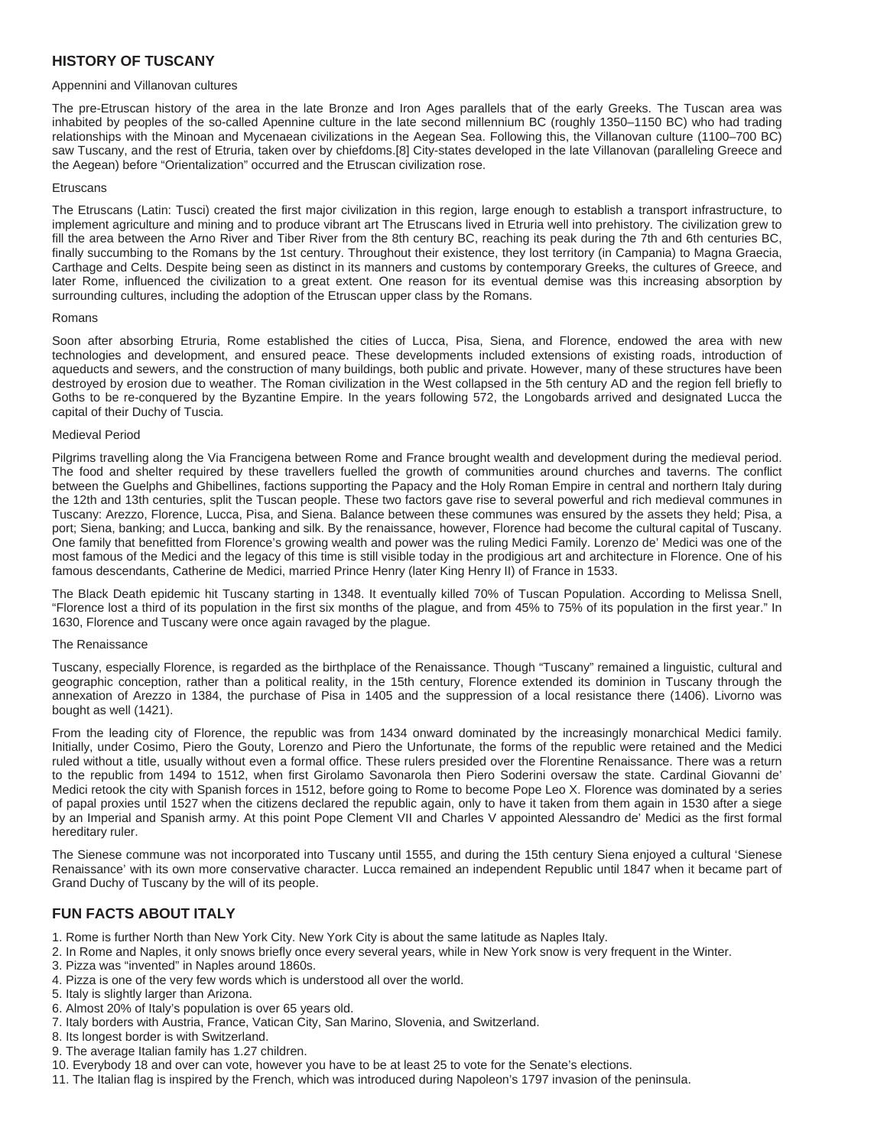# **HISTORY OF TUSCANY**

## Appennini and Villanovan cultures

The pre-Etruscan history of the area in the late Bronze and Iron Ages parallels that of the early Greeks. The Tuscan area was inhabited by peoples of the so-called Apennine culture in the late second millennium BC (roughly 1350–1150 BC) who had trading relationships with the Minoan and Mycenaean civilizations in the Aegean Sea. Following this, the Villanovan culture (1100–700 BC) saw Tuscany, and the rest of Etruria, taken over by chiefdoms.[8] City-states developed in the late Villanovan (paralleling Greece and the Aegean) before "Orientalization" occurred and the Etruscan civilization rose.

#### **Etruscans**

The Etruscans (Latin: Tusci) created the first major civilization in this region, large enough to establish a transport infrastructure, to implement agriculture and mining and to produce vibrant art The Etruscans lived in Etruria well into prehistory. The civilization grew to fill the area between the Arno River and Tiber River from the 8th century BC, reaching its peak during the 7th and 6th centuries BC, finally succumbing to the Romans by the 1st century. Throughout their existence, they lost territory (in Campania) to Magna Graecia, Carthage and Celts. Despite being seen as distinct in its manners and customs by contemporary Greeks, the cultures of Greece, and later Rome, influenced the civilization to a great extent. One reason for its eventual demise was this increasing absorption by surrounding cultures, including the adoption of the Etruscan upper class by the Romans.

#### Romans

Soon after absorbing Etruria, Rome established the cities of Lucca, Pisa, Siena, and Florence, endowed the area with new technologies and development, and ensured peace. These developments included extensions of existing roads, introduction of aqueducts and sewers, and the construction of many buildings, both public and private. However, many of these structures have been destroyed by erosion due to weather. The Roman civilization in the West collapsed in the 5th century AD and the region fell briefly to Goths to be re-conquered by the Byzantine Empire. In the years following 572, the Longobards arrived and designated Lucca the capital of their Duchy of Tuscia.

#### Medieval Period

Pilgrims travelling along the Via Francigena between Rome and France brought wealth and development during the medieval period. The food and shelter required by these travellers fuelled the growth of communities around churches and taverns. The conflict between the Guelphs and Ghibellines, factions supporting the Papacy and the Holy Roman Empire in central and northern Italy during the 12th and 13th centuries, split the Tuscan people. These two factors gave rise to several powerful and rich medieval communes in Tuscany: Arezzo, Florence, Lucca, Pisa, and Siena. Balance between these communes was ensured by the assets they held; Pisa, a port; Siena, banking; and Lucca, banking and silk. By the renaissance, however, Florence had become the cultural capital of Tuscany. One family that benefitted from Florence's growing wealth and power was the ruling Medici Family. Lorenzo de' Medici was one of the most famous of the Medici and the legacy of this time is still visible today in the prodigious art and architecture in Florence. One of his famous descendants, Catherine de Medici, married Prince Henry (later King Henry II) of France in 1533.

The Black Death epidemic hit Tuscany starting in 1348. It eventually killed 70% of Tuscan Population. According to Melissa Snell, "Florence lost a third of its population in the first six months of the plague, and from 45% to 75% of its population in the first year." In 1630, Florence and Tuscany were once again ravaged by the plague.

#### The Renaissance

Tuscany, especially Florence, is regarded as the birthplace of the Renaissance. Though "Tuscany" remained a linguistic, cultural and geographic conception, rather than a political reality, in the 15th century, Florence extended its dominion in Tuscany through the annexation of Arezzo in 1384, the purchase of Pisa in 1405 and the suppression of a local resistance there (1406). Livorno was bought as well (1421).

From the leading city of Florence, the republic was from 1434 onward dominated by the increasingly monarchical Medici family. Initially, under Cosimo, Piero the Gouty, Lorenzo and Piero the Unfortunate, the forms of the republic were retained and the Medici ruled without a title, usually without even a formal office. These rulers presided over the Florentine Renaissance. There was a return to the republic from 1494 to 1512, when first Girolamo Savonarola then Piero Soderini oversaw the state. Cardinal Giovanni de' Medici retook the city with Spanish forces in 1512, before going to Rome to become Pope Leo X. Florence was dominated by a series of papal proxies until 1527 when the citizens declared the republic again, only to have it taken from them again in 1530 after a siege by an Imperial and Spanish army. At this point Pope Clement VII and Charles V appointed Alessandro de' Medici as the first formal hereditary ruler.

The Sienese commune was not incorporated into Tuscany until 1555, and during the 15th century Siena enjoyed a cultural 'Sienese Renaissance' with its own more conservative character. Lucca remained an independent Republic until 1847 when it became part of Grand Duchy of Tuscany by the will of its people.

# **FUN FACTS ABOUT ITALY**

- 1. Rome is further North than New York City. New York City is about the same latitude as Naples Italy.
- 2. In Rome and Naples, it only snows briefly once every several years, while in New York snow is very frequent in the Winter.
- 3. Pizza was "invented" in Naples around 1860s.
- 4. Pizza is one of the very few words which is understood all over the world.
- 5. Italy is slightly larger than Arizona.
- 6. Almost 20% of Italy's population is over 65 years old.
- 7. Italy borders with Austria, France, Vatican City, San Marino, Slovenia, and Switzerland.
- 8. Its longest border is with Switzerland.
- 9. The average Italian family has 1.27 children.
- 10. Everybody 18 and over can vote, however you have to be at least 25 to vote for the Senate's elections.
- 11. The Italian flag is inspired by the French, which was introduced during Napoleon's 1797 invasion of the peninsula.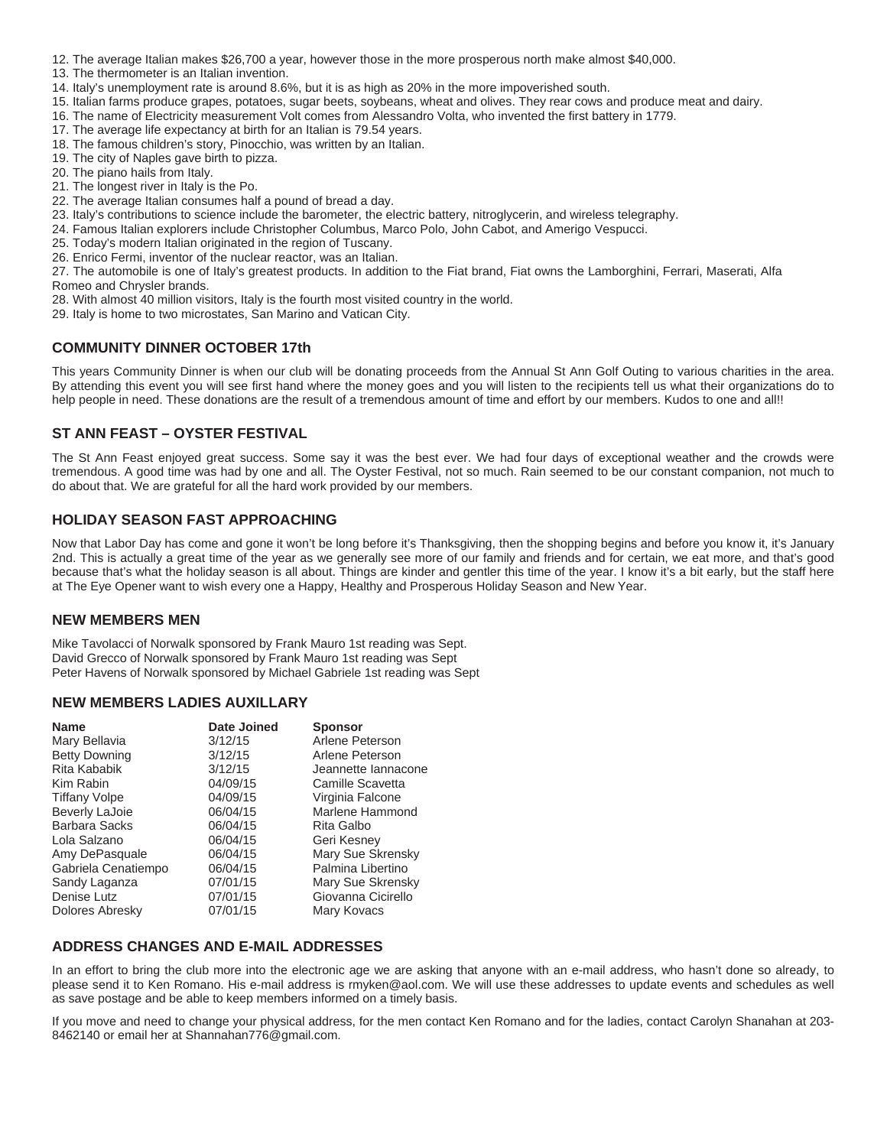- 12. The average Italian makes \$26,700 a year, however those in the more prosperous north make almost \$40,000.
- 13. The thermometer is an Italian invention.
- 14. Italy's unemployment rate is around 8.6%, but it is as high as 20% in the more impoverished south.
- 15. Italian farms produce grapes, potatoes, sugar beets, soybeans, wheat and olives. They rear cows and produce meat and dairy.
- 16. The name of Electricity measurement Volt comes from Alessandro Volta, who invented the first battery in 1779.
- 17. The average life expectancy at birth for an Italian is 79.54 years.
- 18. The famous children's story, Pinocchio, was written by an Italian.
- 19. The city of Naples gave birth to pizza.
- 20. The piano hails from Italy.
- 21. The longest river in Italy is the Po.
- 22. The average Italian consumes half a pound of bread a day.
- 23. Italy's contributions to science include the barometer, the electric battery, nitroglycerin, and wireless telegraphy.
- 24. Famous Italian explorers include Christopher Columbus, Marco Polo, John Cabot, and Amerigo Vespucci.
- 25. Today's modern Italian originated in the region of Tuscany.
- 26. Enrico Fermi, inventor of the nuclear reactor, was an Italian.

27. The automobile is one of Italy's greatest products. In addition to the Fiat brand, Fiat owns the Lamborghini, Ferrari, Maserati, Alfa Romeo and Chrysler brands.

- 28. With almost 40 million visitors, Italy is the fourth most visited country in the world.
- 29. Italy is home to two microstates, San Marino and Vatican City.

## **COMMUNITY DINNER OCTOBER 17th**

This years Community Dinner is when our club will be donating proceeds from the Annual St Ann Golf Outing to various charities in the area. By attending this event you will see first hand where the money goes and you will listen to the recipients tell us what their organizations do to help people in need. These donations are the result of a tremendous amount of time and effort by our members. Kudos to one and all!!

# **ST ANN FEAST – OYSTER FESTIVAL**

The St Ann Feast enjoyed great success. Some say it was the best ever. We had four days of exceptional weather and the crowds were tremendous. A good time was had by one and all. The Oyster Festival, not so much. Rain seemed to be our constant companion, not much to do about that. We are grateful for all the hard work provided by our members.

## **HOLIDAY SEASON FAST APPROACHING**

Now that Labor Day has come and gone it won't be long before it's Thanksgiving, then the shopping begins and before you know it, it's January 2nd. This is actually a great time of the year as we generally see more of our family and friends and for certain, we eat more, and that's good because that's what the holiday season is all about. Things are kinder and gentler this time of the year. I know it's a bit early, but the staff here at The Eye Opener want to wish every one a Happy, Healthy and Prosperous Holiday Season and New Year.

## **NEW MEMBERS MEN**

Mike Tavolacci of Norwalk sponsored by Frank Mauro 1st reading was Sept. David Grecco of Norwalk sponsored by Frank Mauro 1st reading was Sept Peter Havens of Norwalk sponsored by Michael Gabriele 1st reading was Sept

## **NEW MEMBERS LADIES AUXILLARY**

| <b>Name</b>           | <b>Date Joined</b> | <b>Sponsor</b>      |
|-----------------------|--------------------|---------------------|
| Mary Bellavia         | 3/12/15            | Arlene Peterson     |
| <b>Betty Downing</b>  | 3/12/15            | Arlene Peterson     |
| Rita Kababik          | 3/12/15            | Jeannette lannacone |
| Kim Rabin             | 04/09/15           | Camille Scavetta    |
| <b>Tiffany Volpe</b>  | 04/09/15           | Virginia Falcone    |
| <b>Beverly LaJoie</b> | 06/04/15           | Marlene Hammond     |
| <b>Barbara Sacks</b>  | 06/04/15           | Rita Galbo          |
| Lola Salzano          | 06/04/15           | Geri Kesney         |
| Amy DePasquale        | 06/04/15           | Mary Sue Skrensky   |
| Gabriela Cenatiempo   | 06/04/15           | Palmina Libertino   |
| Sandy Laganza         | 07/01/15           | Mary Sue Skrensky   |
| Denise Lutz           | 07/01/15           | Giovanna Cicirello  |
| Dolores Abresky       | 07/01/15           | Mary Kovacs         |

## **ADDRESS CHANGES AND E-MAIL ADDRESSES**

In an effort to bring the club more into the electronic age we are asking that anyone with an e-mail address, who hasn't done so already, to please send it to Ken Romano. His e-mail address is rmyken@aol.com. We will use these addresses to update events and schedules as well as save postage and be able to keep members informed on a timely basis.

If you move and need to change your physical address, for the men contact Ken Romano and for the ladies, contact Carolyn Shanahan at 203- 8462140 or email her at Shannahan776@gmail.com.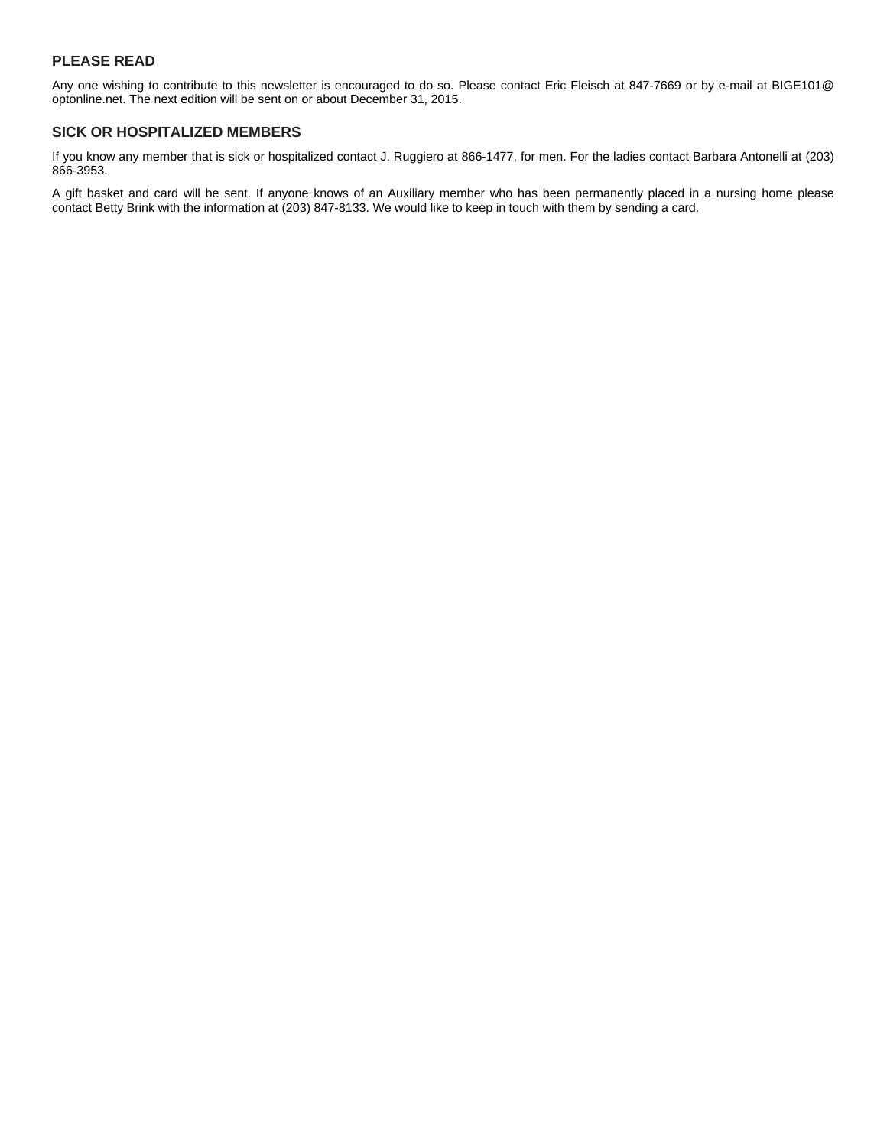# **PLEASE READ**

Any one wishing to contribute to this newsletter is encouraged to do so. Please contact Eric Fleisch at 847-7669 or by e-mail at BIGE101@ optonline.net. The next edition will be sent on or about December 31, 2015.

# **SICK OR HOSPITALIZED MEMBERS**

If you know any member that is sick or hospitalized contact J. Ruggiero at 866-1477, for men. For the ladies contact Barbara Antonelli at (203) 866-3953.

A gift basket and card will be sent. If anyone knows of an Auxiliary member who has been permanently placed in a nursing home please contact Betty Brink with the information at (203) 847-8133. We would like to keep in touch with them by sending a card.